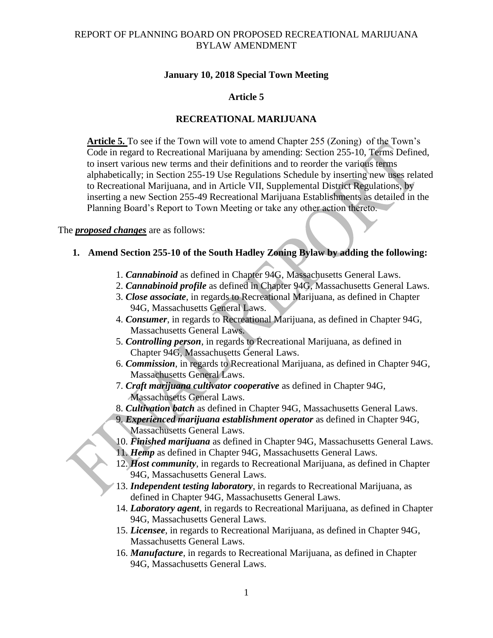### **January 10, 2018 Special Town Meeting**

### **Article 5**

### **RECREATIONAL MARIJUANA**

**Article 5.** To see if the Town will vote to amend Chapter 255 (Zoning) of the Town's Code in regard to Recreational Marijuana by amending: Section 255-10, Terms Defined, to insert various new terms and their definitions and to reorder the various terms alphabetically; in Section 255-19 Use Regulations Schedule by inserting new uses related to Recreational Marijuana, and in Article VII, Supplemental District Regulations, by inserting a new Section 255-49 Recreational Marijuana Establishments as detailed in the Planning Board's Report to Town Meeting or take any other action thereto.

#### The *proposed changes* are as follows:

### **1. Amend Section 255-10 of the South Hadley Zoning Bylaw by adding the following:**

- 1. *Cannabinoid* as defined in Chapter 94G, Massachusetts General Laws.
- 2. *Cannabinoid profile* as defined in Chapter 94G, Massachusetts General Laws.
- 3. *Close associate*, in regards to Recreational Marijuana, as defined in Chapter 94G, Massachusetts General Laws.
- 4. *Consumer*, in regards to Recreational Marijuana, as defined in Chapter 94G, Massachusetts General Laws.
- 5. *Controlling person*, in regards to Recreational Marijuana, as defined in Chapter 94G, Massachusetts General Laws.
- 6. *Commission*, in regards to Recreational Marijuana, as defined in Chapter 94G, Massachusetts General Laws.
- 7. *Craft marijuana cultivator cooperative* as defined in Chapter 94G, Massachusetts General Laws.
- 8. *Cultivation batch* as defined in Chapter 94G, Massachusetts General Laws.
- 9. *Experienced marijuana establishment operator* as defined in Chapter 94G, Massachusetts General Laws.
- 10. *Finished marijuana* as defined in Chapter 94G, Massachusetts General Laws.
- 11. *Hemp* as defined in Chapter 94G, Massachusetts General Laws.
- 12. *Host community*, in regards to Recreational Marijuana, as defined in Chapter 94G, Massachusetts General Laws.
- 13. *Independent testing laboratory*, in regards to Recreational Marijuana, as defined in Chapter 94G, Massachusetts General Laws.
- 14. *Laboratory agent*, in regards to Recreational Marijuana, as defined in Chapter 94G, Massachusetts General Laws.
- 15. *Licensee*, in regards to Recreational Marijuana, as defined in Chapter 94G, Massachusetts General Laws.
- 16. *Manufacture*, in regards to Recreational Marijuana, as defined in Chapter 94G, Massachusetts General Laws.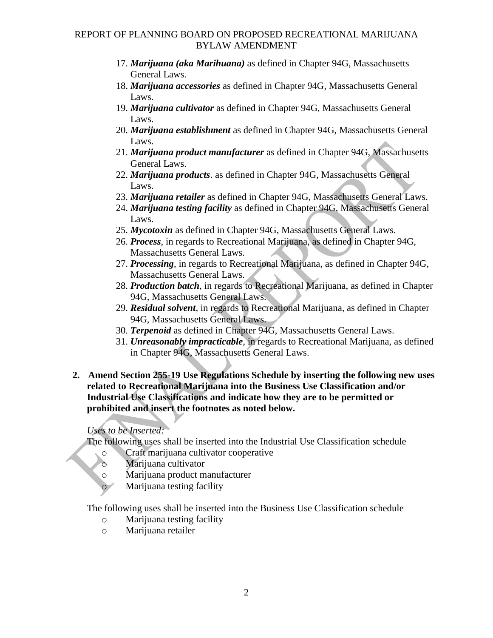- 17. *Marijuana (aka Marihuana)* as defined in Chapter 94G, Massachusetts General Laws.
- 18. *Marijuana accessories* as defined in Chapter 94G, Massachusetts General Laws.
- 19. *Marijuana cultivator* as defined in Chapter 94G, Massachusetts General Laws.
- 20. *Marijuana establishment* as defined in Chapter 94G, Massachusetts General Laws.
- 21. *Marijuana product manufacturer* as defined in Chapter 94G, Massachusetts General Laws.
- 22. *Marijuana products*. as defined in Chapter 94G, Massachusetts General Laws.
- 23. *Marijuana retailer* as defined in Chapter 94G, Massachusetts General Laws.
- 24. *Marijuana testing facility* as defined in Chapter 94G, Massachusetts General Laws.
- 25. *Mycotoxin* as defined in Chapter 94G, Massachusetts General Laws.
- 26. *Process*, in regards to Recreational Marijuana, as defined in Chapter 94G, Massachusetts General Laws.
- 27. *Processing*, in regards to Recreational Marijuana, as defined in Chapter 94G, Massachusetts General Laws.
- 28. *Production batch*, in regards to Recreational Marijuana, as defined in Chapter 94G, Massachusetts General Laws.
- 29. *Residual solvent*, in regards to Recreational Marijuana, as defined in Chapter 94G, Massachusetts General Laws.
- 30. *Terpenoid* as defined in Chapter 94G, Massachusetts General Laws.
- 31. *Unreasonably impracticable*, in regards to Recreational Marijuana, as defined in Chapter 94G, Massachusetts General Laws.
- **2. Amend Section 255-19 Use Regulations Schedule by inserting the following new uses related to Recreational Marijuana into the Business Use Classification and/or Industrial Use Classifications and indicate how they are to be permitted or prohibited and insert the footnotes as noted below.**

# *Uses to be Inserted:*

The following uses shall be inserted into the Industrial Use Classification schedule

- o Craft marijuana cultivator cooperative
- o Marijuana cultivator
- o Marijuana product manufacturer
	- Marijuana testing facility

The following uses shall be inserted into the Business Use Classification schedule

- o Marijuana testing facility
- o Marijuana retailer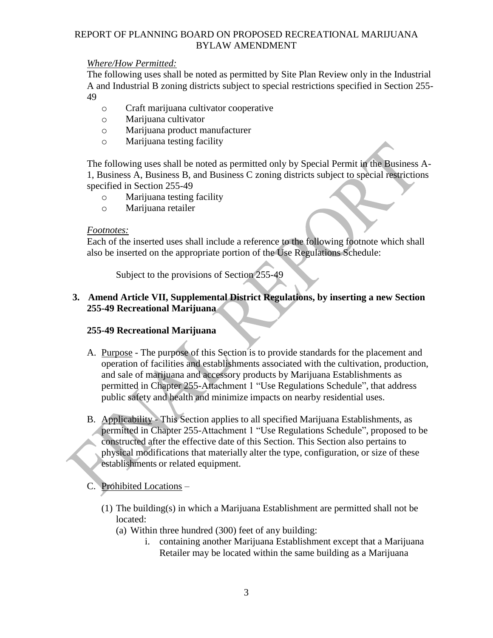### *Where/How Permitted:*

The following uses shall be noted as permitted by Site Plan Review only in the Industrial A and Industrial B zoning districts subject to special restrictions specified in Section 255- 49

- o Craft marijuana cultivator cooperative
- o Marijuana cultivator
- o Marijuana product manufacturer
- o Marijuana testing facility

The following uses shall be noted as permitted only by Special Permit in the Business A-1, Business A, Business B, and Business C zoning districts subject to special restrictions specified in Section 255-49

- o Marijuana testing facility
- o Marijuana retailer

#### *Footnotes:*

Each of the inserted uses shall include a reference to the following footnote which shall also be inserted on the appropriate portion of the Use Regulations Schedule:

Subject to the provisions of Section 255-49

# **3. Amend Article VII, Supplemental District Regulations, by inserting a new Section 255-49 Recreational Marijuana**

#### **255-49 Recreational Marijuana**

- A. Purpose The purpose of this Section is to provide standards for the placement and operation of facilities and establishments associated with the cultivation, production, and sale of marijuana and accessory products by Marijuana Establishments as permitted in Chapter 255-Attachment 1 "Use Regulations Schedule", that address public safety and health and minimize impacts on nearby residential uses.
- B. Applicability This Section applies to all specified Marijuana Establishments, as permitted in Chapter 255-Attachment 1 "Use Regulations Schedule", proposed to be constructed after the effective date of this Section. This Section also pertains to physical modifications that materially alter the type, configuration, or size of these establishments or related equipment.

### C. Prohibited Locations –

- (1) The building(s) in which a Marijuana Establishment are permitted shall not be located:
	- (a) Within three hundred (300) feet of any building:
		- i. containing another Marijuana Establishment except that a Marijuana Retailer may be located within the same building as a Marijuana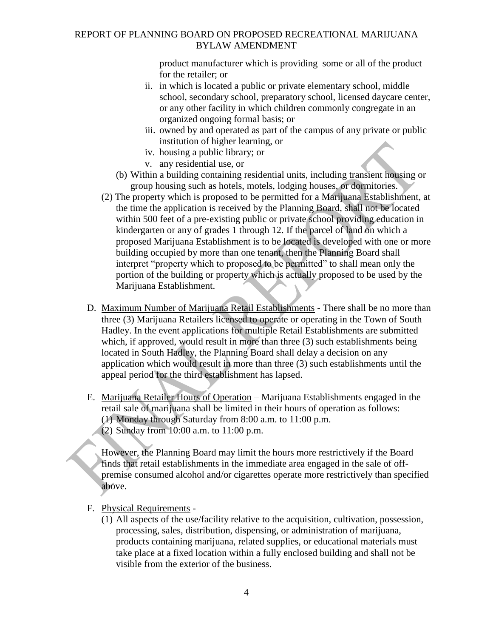product manufacturer which is providing some or all of the product for the retailer; or

- ii. in which is located a public or private elementary school, middle school, secondary school, preparatory school, licensed daycare center, or any other facility in which children commonly congregate in an organized ongoing formal basis; or
- iii. owned by and operated as part of the campus of any private or public institution of higher learning, or
- iv. housing a public library; or
- v. any residential use, or
- (b) Within a building containing residential units, including transient housing or group housing such as hotels, motels, lodging houses, or dormitories.
- (2) The property which is proposed to be permitted for a Marijuana Establishment, at the time the application is received by the Planning Board, shall not be located within 500 feet of a pre-existing public or private school providing education in kindergarten or any of grades 1 through 12. If the parcel of land on which a proposed Marijuana Establishment is to be located is developed with one or more building occupied by more than one tenant, then the Planning Board shall interpret "property which to proposed to be permitted" to shall mean only the portion of the building or property which is actually proposed to be used by the Marijuana Establishment.
- D. Maximum Number of Marijuana Retail Establishments There shall be no more than three (3) Marijuana Retailers licensed to operate or operating in the Town of South Hadley. In the event applications for multiple Retail Establishments are submitted which, if approved, would result in more than three (3) such establishments being located in South Hadley, the Planning Board shall delay a decision on any application which would result in more than three (3) such establishments until the appeal period for the third establishment has lapsed.
- E. Marijuana Retailer Hours of Operation Marijuana Establishments engaged in the retail sale of marijuana shall be limited in their hours of operation as follows: (1) Monday through Saturday from 8:00 a.m. to 11:00 p.m. (2) Sunday from 10:00 a.m. to 11:00 p.m.

However, the Planning Board may limit the hours more restrictively if the Board finds that retail establishments in the immediate area engaged in the sale of offpremise consumed alcohol and/or cigarettes operate more restrictively than specified above.

- F. Physical Requirements
	- (1) All aspects of the use/facility relative to the acquisition, cultivation, possession, processing, sales, distribution, dispensing, or administration of marijuana, products containing marijuana, related supplies, or educational materials must take place at a fixed location within a fully enclosed building and shall not be visible from the exterior of the business.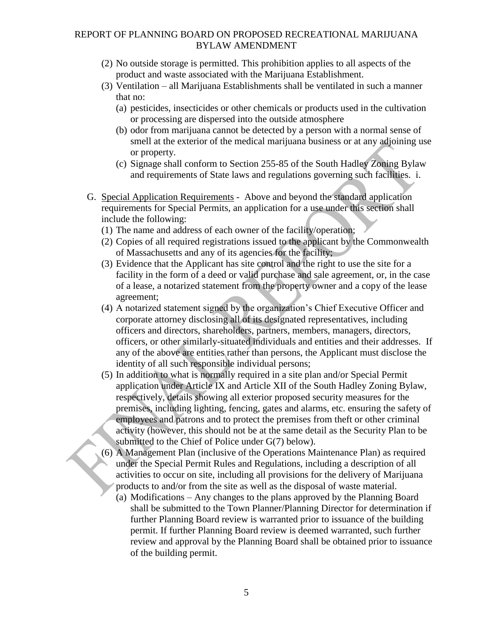- (2) No outside storage is permitted. This prohibition applies to all aspects of the product and waste associated with the Marijuana Establishment.
- (3) Ventilation all Marijuana Establishments shall be ventilated in such a manner that no:
	- (a) pesticides, insecticides or other chemicals or products used in the cultivation or processing are dispersed into the outside atmosphere
	- (b) odor from marijuana cannot be detected by a person with a normal sense of smell at the exterior of the medical marijuana business or at any adjoining use or property.
	- (c) Signage shall conform to Section 255-85 of the South Hadley Zoning Bylaw and requirements of State laws and regulations governing such facilities. i.
- G. Special Application Requirements Above and beyond the standard application requirements for Special Permits, an application for a use under this section shall include the following:
	- (1) The name and address of each owner of the facility/operation;
	- (2) Copies of all required registrations issued to the applicant by the Commonwealth of Massachusetts and any of its agencies for the facility;
	- (3) Evidence that the Applicant has site control and the right to use the site for a facility in the form of a deed or valid purchase and sale agreement, or, in the case of a lease, a notarized statement from the property owner and a copy of the lease agreement;
	- (4) A notarized statement signed by the organization's Chief Executive Officer and corporate attorney disclosing all of its designated representatives, including officers and directors, shareholders, partners, members, managers, directors, officers, or other similarly-situated individuals and entities and their addresses. If any of the above are entities rather than persons, the Applicant must disclose the identity of all such responsible individual persons;
	- (5) In addition to what is normally required in a site plan and/or Special Permit application under Article IX and Article XII of the South Hadley Zoning Bylaw, respectively, details showing all exterior proposed security measures for the premises, including lighting, fencing, gates and alarms, etc. ensuring the safety of employees and patrons and to protect the premises from theft or other criminal activity (however, this should not be at the same detail as the Security Plan to be submitted to the Chief of Police under G(7) below).
	- (6) A Management Plan (inclusive of the Operations Maintenance Plan) as required under the Special Permit Rules and Regulations, including a description of all activities to occur on site, including all provisions for the delivery of Marijuana products to and/or from the site as well as the disposal of waste material.
		- (a) Modifications Any changes to the plans approved by the Planning Board shall be submitted to the Town Planner/Planning Director for determination if further Planning Board review is warranted prior to issuance of the building permit. If further Planning Board review is deemed warranted, such further review and approval by the Planning Board shall be obtained prior to issuance of the building permit.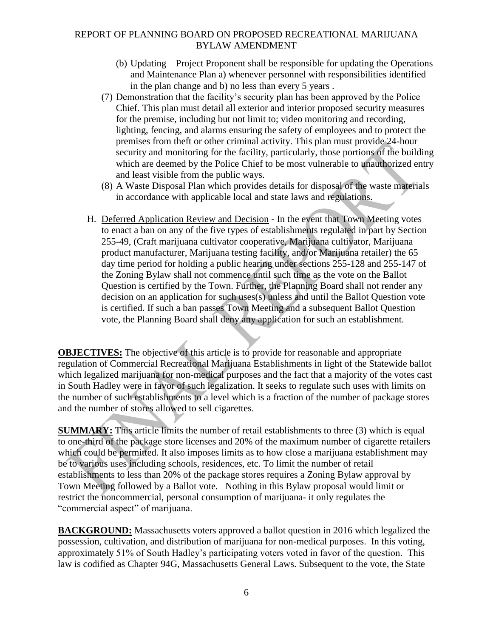- (b) Updating Project Proponent shall be responsible for updating the Operations and Maintenance Plan a) whenever personnel with responsibilities identified in the plan change and b) no less than every 5 years .
- (7) Demonstration that the facility's security plan has been approved by the Police Chief. This plan must detail all exterior and interior proposed security measures for the premise, including but not limit to; video monitoring and recording, lighting, fencing, and alarms ensuring the safety of employees and to protect the premises from theft or other criminal activity. This plan must provide 24-hour security and monitoring for the facility, particularly, those portions of the building which are deemed by the Police Chief to be most vulnerable to unauthorized entry and least visible from the public ways.
- (8) A Waste Disposal Plan which provides details for disposal of the waste materials in accordance with applicable local and state laws and regulations.
- H. Deferred Application Review and Decision In the event that Town Meeting votes to enact a ban on any of the five types of establishments regulated in part by Section 255-49, (Craft marijuana cultivator cooperative, Marijuana cultivator, Marijuana product manufacturer, Marijuana testing facility, and/or Marijuana retailer) the 65 day time period for holding a public hearing under sections 255-128 and 255-147 of the Zoning Bylaw shall not commence until such time as the vote on the Ballot Question is certified by the Town. Further, the Planning Board shall not render any decision on an application for such uses(s) unless and until the Ballot Question vote is certified. If such a ban passes Town Meeting and a subsequent Ballot Question vote, the Planning Board shall deny any application for such an establishment.

**OBJECTIVES:** The objective of this article is to provide for reasonable and appropriate regulation of Commercial Recreational Marijuana Establishments in light of the Statewide ballot which legalized marijuana for non-medical purposes and the fact that a majority of the votes cast in South Hadley were in favor of such legalization. It seeks to regulate such uses with limits on the number of such establishments to a level which is a fraction of the number of package stores and the number of stores allowed to sell cigarettes.

**SUMMARY:** This article limits the number of retail establishments to three (3) which is equal to one-third of the package store licenses and 20% of the maximum number of cigarette retailers which could be permitted. It also imposes limits as to how close a marijuana establishment may be to various uses including schools, residences, etc. To limit the number of retail establishments to less than 20% of the package stores requires a Zoning Bylaw approval by Town Meeting followed by a Ballot vote. Nothing in this Bylaw proposal would limit or restrict the noncommercial, personal consumption of marijuana- it only regulates the "commercial aspect" of marijuana.

**BACKGROUND:** Massachusetts voters approved a ballot question in 2016 which legalized the possession, cultivation, and distribution of marijuana for non-medical purposes. In this voting, approximately 51% of South Hadley's participating voters voted in favor of the question. This law is codified as Chapter 94G, Massachusetts General Laws. Subsequent to the vote, the State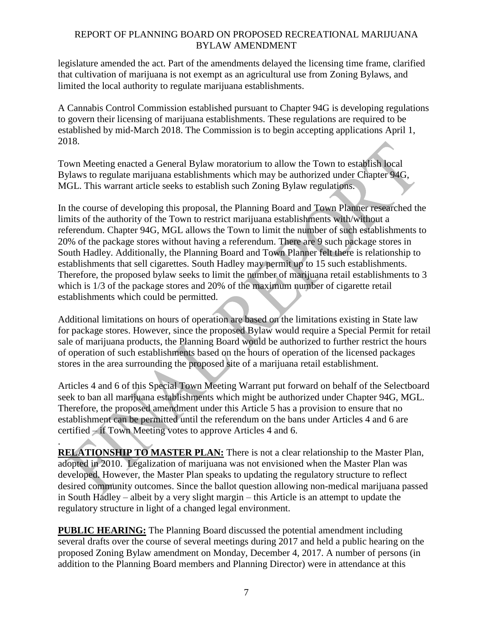legislature amended the act. Part of the amendments delayed the licensing time frame, clarified that cultivation of marijuana is not exempt as an agricultural use from Zoning Bylaws, and limited the local authority to regulate marijuana establishments.

A Cannabis Control Commission established pursuant to Chapter 94G is developing regulations to govern their licensing of marijuana establishments. These regulations are required to be established by mid-March 2018. The Commission is to begin accepting applications April 1, 2018.

Town Meeting enacted a General Bylaw moratorium to allow the Town to establish local Bylaws to regulate marijuana establishments which may be authorized under Chapter 94G, MGL. This warrant article seeks to establish such Zoning Bylaw regulations.

In the course of developing this proposal, the Planning Board and Town Planner researched the limits of the authority of the Town to restrict marijuana establishments with/without a referendum. Chapter 94G, MGL allows the Town to limit the number of such establishments to 20% of the package stores without having a referendum. There are 9 such package stores in South Hadley. Additionally, the Planning Board and Town Planner felt there is relationship to establishments that sell cigarettes. South Hadley may permit up to 15 such establishments. Therefore, the proposed bylaw seeks to limit the number of marijuana retail establishments to 3 which is 1/3 of the package stores and 20% of the maximum number of cigarette retail establishments which could be permitted.

Additional limitations on hours of operation are based on the limitations existing in State law for package stores. However, since the proposed Bylaw would require a Special Permit for retail sale of marijuana products, the Planning Board would be authorized to further restrict the hours of operation of such establishments based on the hours of operation of the licensed packages stores in the area surrounding the proposed site of a marijuana retail establishment.

Articles 4 and 6 of this Special Town Meeting Warrant put forward on behalf of the Selectboard seek to ban all marijuana establishments which might be authorized under Chapter 94G, MGL. Therefore, the proposed amendment under this Article 5 has a provision to ensure that no establishment can be permitted until the referendum on the bans under Articles 4 and 6 are certified – if Town Meeting votes to approve Articles 4 and 6.

. **RELATIONSHIP TO MASTER PLAN:** There is not a clear relationship to the Master Plan, adopted in 2010. Legalization of marijuana was not envisioned when the Master Plan was developed. However, the Master Plan speaks to updating the regulatory structure to reflect desired community outcomes. Since the ballot question allowing non-medical marijuana passed in South Hadley – albeit by a very slight margin – this Article is an attempt to update the regulatory structure in light of a changed legal environment.

**PUBLIC HEARING:** The Planning Board discussed the potential amendment including several drafts over the course of several meetings during 2017 and held a public hearing on the proposed Zoning Bylaw amendment on Monday, December 4, 2017. A number of persons (in addition to the Planning Board members and Planning Director) were in attendance at this